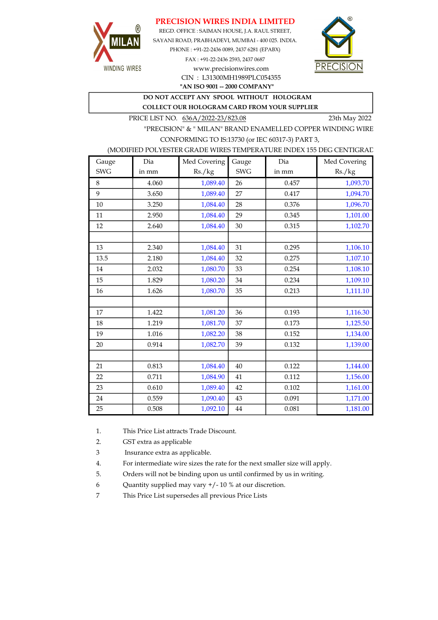## PRECISION WIRES INDIA LIMITED



REGD. OFFICE : SAIMAN HOUSE, J.A. RAUL STREET, SAYANI ROAD, PRABHADEVI, MUMBAI - 400 025. INDIA. PHONE : +91-22-2436 0089, 2437 6281 (EPABX) FAX : +91-22-2436 2593, 2437 0687 www.precisionwires.com



"AN ISO 9001 -- 2000 COMPANY" CIN : L31300MH1989PLC054355

DO NOT ACCEPT ANY SPOOL WITHOUT HOLOGRAM

COLLECT OUR HOLOGRAM CARD FROM YOUR SUPPLIER

PRICE LIST NO. 636A/2022-23/823.08 23th May 2022

"PRECISION" & " MILAN" BRAND ENAMELLED COPPER WINDING WIRE CONFORMING TO IS:13730 (or IEC 60317-3) PART 3,

### (MODIFIED POLYESTER GRADE WIRES TEMPERATURE INDEX 155 DEG CENTIGRAD

| Gauge      | Dia   | Med Covering | Gauge      | Dia   | Med Covering |
|------------|-------|--------------|------------|-------|--------------|
| <b>SWG</b> | in mm | Rs./kg       | <b>SWG</b> | in mm | Rs./kg       |
| 8          | 4.060 | 1,089.40     | 26         | 0.457 | 1,093.70     |
| 9          | 3.650 | 1,089.40     | 27         | 0.417 | 1,094.70     |
| 10         | 3.250 | 1,084.40     | 28         | 0.376 | 1,096.70     |
| 11         | 2.950 | 1,084.40     | 29         | 0.345 | 1,101.00     |
| 12         | 2.640 | 1,084.40     | 30         | 0.315 | 1,102.70     |
|            |       |              |            |       |              |
| 13         | 2.340 | 1,084.40     | 31         | 0.295 | 1,106.10     |
| 13.5       | 2.180 | 1,084.40     | 32         | 0.275 | 1,107.10     |
| 14         | 2.032 | 1,080.70     | 33         | 0.254 | 1,108.10     |
| 15         | 1.829 | 1,080.20     | 34         | 0.234 | 1,109.10     |
| 16         | 1.626 | 1,080.70     | 35         | 0.213 | 1,111.10     |
|            |       |              |            |       |              |
| 17         | 1.422 | 1,081.20     | 36         | 0.193 | 1,116.30     |
| 18         | 1.219 | 1,081.70     | 37         | 0.173 | 1,125.50     |
| 19         | 1.016 | 1,082.20     | 38         | 0.152 | 1,134.00     |
| 20         | 0.914 | 1,082.70     | 39         | 0.132 | 1,139.00     |
|            |       |              |            |       |              |
| 21         | 0.813 | 1,084.40     | 40         | 0.122 | 1,144.00     |
| 22         | 0.711 | 1,084.90     | 41         | 0.112 | 1,156.00     |
| 23         | 0.610 | 1,089.40     | 42         | 0.102 | 1,161.00     |
| 24         | 0.559 | 1,090.40     | 43         | 0.091 | 1,171.00     |
| 25         | 0.508 | 1,092.10     | 44         | 0.081 | 1,181.00     |

1. This Price List attracts Trade Discount.

2. GST extra as applicable

3 Insurance extra as applicable.

4. For intermediate wire sizes the rate for the next smaller size will apply.

5. Orders will not be binding upon us until confirmed by us in writing.

6 Quantity supplied may vary +/- 10 % at our discretion.

7 This Price List supersedes all previous Price Lists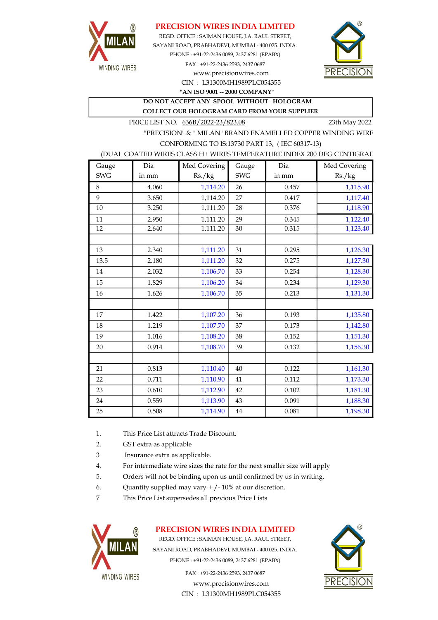

## PRECISION WIRES INDIA LIMITED

SAYANI ROAD, PRABHADEVI, MUMBAI - 400 025. INDIA. PHONE : +91-22-2436 0089, 2437 6281 (EPABX) FAX : +91-22-2436 2593, 2437 0687 www.precisionwires.com REGD. OFFICE : SAIMAN HOUSE, J.A. RAUL STREET,



CIN : L31300MH1989PLC054355 "AN ISO 9001 -- 2000 COMPANY"

DO NOT ACCEPT ANY SPOOL WITHOUT HOLOGRAM COLLECT OUR HOLOGRAM CARD FROM YOUR SUPPLIER

PRICE LIST NO. 636B/2022-23/823.08 23th May 2022

"PRECISION" & " MILAN" BRAND ENAMELLED COPPER WINDING WIRE CONFORMING TO IS:13730 PART 13, ( IEC 60317-13)

#### (DUAL COATED WIRES CLASS H+ WIRES TEMPERATURE INDEX 200 DEG CENTIGRAD

| Gauge      | Dia   | Med Covering | Gauge      | Dia   | Med Covering |
|------------|-------|--------------|------------|-------|--------------|
| <b>SWG</b> | in mm | Rs./kg       | <b>SWG</b> | in mm | Rs./kg       |
| 8          | 4.060 | 1,114.20     | 26         | 0.457 | 1,115.90     |
| 9          | 3.650 | 1,114.20     | 27         | 0.417 | 1,117.40     |
| 10         | 3.250 | 1,111.20     | 28         | 0.376 | 1,118.90     |
| 11         | 2.950 | 1,111.20     | 29         | 0.345 | 1,122.40     |
| 12         | 2.640 | 1,111.20     | 30         | 0.315 | 1,123.40     |
|            |       |              |            |       |              |
| 13         | 2.340 | 1,111.20     | 31         | 0.295 | 1,126.30     |
| 13.5       | 2.180 | 1,111.20     | 32         | 0.275 | 1,127.30     |
| 14         | 2.032 | 1,106.70     | 33         | 0.254 | 1,128.30     |
| 15         | 1.829 | 1,106.20     | 34         | 0.234 | 1,129.30     |
| 16         | 1.626 | 1,106.70     | 35         | 0.213 | 1,131.30     |
|            |       |              |            |       |              |
| 17         | 1.422 | 1,107.20     | 36         | 0.193 | 1,135.80     |
| 18         | 1.219 | 1,107.70     | 37         | 0.173 | 1,142.80     |
| 19         | 1.016 | 1,108.20     | 38         | 0.152 | 1,151.30     |
| 20         | 0.914 | 1,108.70     | 39         | 0.132 | 1,156.30     |
|            |       |              |            |       |              |
| 21         | 0.813 | 1,110.40     | 40         | 0.122 | 1,161.30     |
| 22         | 0.711 | 1,110.90     | 41         | 0.112 | 1,173.30     |
| 23         | 0.610 | 1,112.90     | 42         | 0.102 | 1,181.30     |
| 24         | 0.559 | 1,113.90     | 43         | 0.091 | 1,188.30     |
| 25         | 0.508 | 1,114.90     | 44         | 0.081 | 1,198.30     |

- 1. This Price List attracts Trade Discount.
- 2. GST extra as applicable
- 3 Insurance extra as applicable.
- 4. For intermediate wire sizes the rate for the next smaller size will apply
- 5. Orders will not be binding upon us until confirmed by us in writing.
- 6. Quantity supplied may vary  $+/-10\%$  at our discretion.
- 7 This Price List supersedes all previous Price Lists



## PRECISION WIRES INDIA LIMITED

REGD. OFFICE : SAIMAN HOUSE, J.A. RAUL STREET, SAYANI ROAD, PRABHADEVI, MUMBAI - 400 025. INDIA. PHONE : +91-22-2436 0089, 2437 6281 (EPABX)

> FAX : +91-22-2436 2593, 2437 0687 www.precisionwires.com CIN : L31300MH1989PLC054355